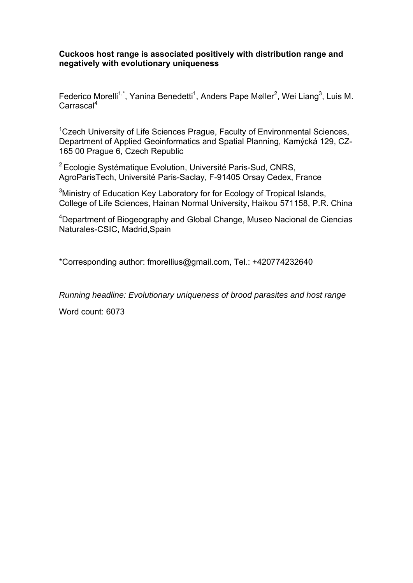## **Cuckoos host range is associated positively with distribution range and negatively with evolutionary uniqueness**

Federico Morelli<sup>1,\*</sup>, Yanina Benedetti<sup>1</sup>, Anders Pape Møller<sup>2</sup>, Wei Liang<sup>3</sup>, Luis M. Carrascal<sup>4</sup>

<sup>1</sup>Czech University of Life Sciences Prague, Faculty of Environmental Sciences, Department of Applied Geoinformatics and Spatial Planning, Kamýcká 129, CZ-165 00 Prague 6, Czech Republic

 $2$  Ecologie Systématique Evolution, Université Paris-Sud, CNRS, AgroParisTech, Université Paris-Saclay, F-91405 Orsay Cedex, France

<sup>3</sup>Ministry of Education Key Laboratory for for Ecology of Tropical Islands, College of Life Sciences, Hainan Normal University, Haikou 571158, P.R. China

<sup>4</sup>Department of Biogeography and Global Change, Museo Nacional de Ciencias Naturales-CSIC, Madrid,Spain

\*Corresponding author: fmorellius@gmail.com, Tel.: +420774232640

*Running headline: Evolutionary uniqueness of brood parasites and host range* 

Word count: 6073